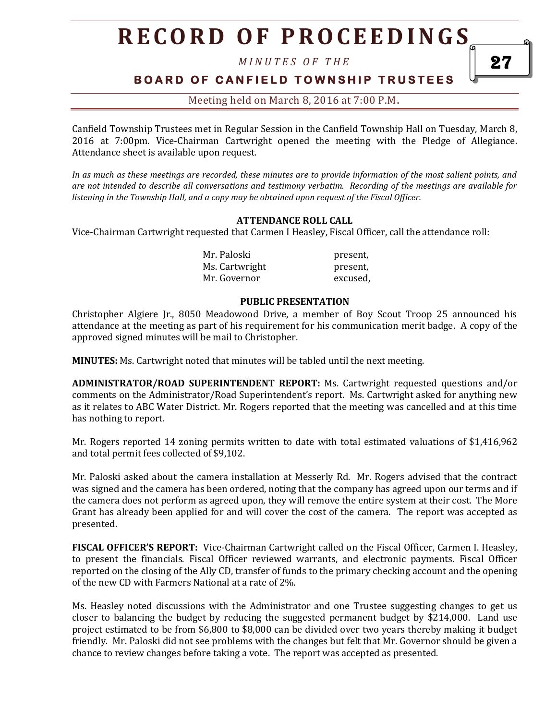# **R E C O R D O F P R O C E E D I N GS**

*M I N U T E S O F T H E* 

**B O A R D O F C A N F I E L D T O W N S H I P T R U S T E E S** 

Meeting held on March 8, 2016 at 7:00 P.M**.**

Canfield Township Trustees met in Regular Session in the Canfield Township Hall on Tuesday, March 8, 2016 at 7:00pm. Vice-Chairman Cartwright opened the meeting with the Pledge of Allegiance. Attendance sheet is available upon request.

*In as much as these meetings are recorded, these minutes are to provide information of the most salient points, and are not intended to describe all conversations and testimony verbatim. Recording of the meetings are available for listening in the Township Hall, and a copy may be obtained upon request of the Fiscal Officer.* 

#### **ATTENDANCE ROLL CALL**

Vice-Chairman Cartwright requested that Carmen I Heasley, Fiscal Officer, call the attendance roll:

Mr. Paloski present, Ms. Cartwright present, Mr. Governor excused,

#### **PUBLIC PRESENTATION**

Christopher Algiere Jr., 8050 Meadowood Drive, a member of Boy Scout Troop 25 announced his attendance at the meeting as part of his requirement for his communication merit badge. A copy of the approved signed minutes will be mail to Christopher.

**MINUTES:** Ms. Cartwright noted that minutes will be tabled until the next meeting.

**ADMINISTRATOR/ROAD SUPERINTENDENT REPORT:** Ms. Cartwright requested questions and/or comments on the Administrator/Road Superintendent's report. Ms. Cartwright asked for anything new as it relates to ABC Water District. Mr. Rogers reported that the meeting was cancelled and at this time has nothing to report.

Mr. Rogers reported 14 zoning permits written to date with total estimated valuations of \$1,416,962 and total permit fees collected of \$9,102.

Mr. Paloski asked about the camera installation at Messerly Rd. Mr. Rogers advised that the contract was signed and the camera has been ordered, noting that the company has agreed upon our terms and if the camera does not perform as agreed upon, they will remove the entire system at their cost. The More Grant has already been applied for and will cover the cost of the camera. The report was accepted as presented.

**FISCAL OFFICER'S REPORT:** Vice-Chairman Cartwright called on the Fiscal Officer, Carmen I. Heasley, to present the financials. Fiscal Officer reviewed warrants, and electronic payments. Fiscal Officer reported on the closing of the Ally CD, transfer of funds to the primary checking account and the opening of the new CD with Farmers National at a rate of 2%.

Ms. Heasley noted discussions with the Administrator and one Trustee suggesting changes to get us closer to balancing the budget by reducing the suggested permanent budget by \$214,000. Land use project estimated to be from \$6,800 to \$8,000 can be divided over two years thereby making it budget friendly. Mr. Paloski did not see problems with the changes but felt that Mr. Governor should be given a chance to review changes before taking a vote. The report was accepted as presented.

27